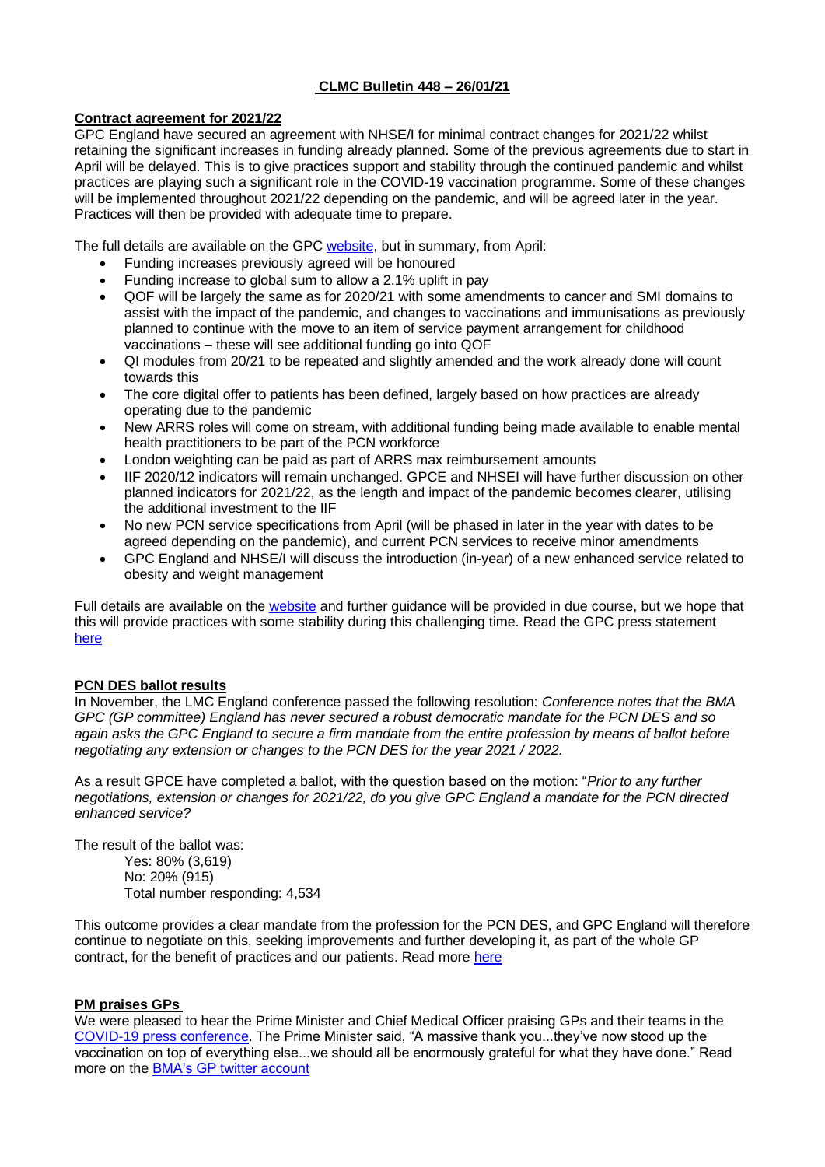# **CLMC Bulletin 448 – 26/01/21**

# **Contract agreement for 2021/22**

GPC England have secured an agreement with NHSE/I for minimal contract changes for 2021/22 whilst retaining the significant increases in funding already planned. Some of the previous agreements due to start in April will be delayed. This is to give practices support and stability through the continued pandemic and whilst practices are playing such a significant role in the COVID-19 vaccination programme. Some of these changes will be implemented throughout 2021/22 depending on the pandemic, and will be agreed later in the year. Practices will then be provided with adequate time to prepare.

The full details are available on the GPC [website,](https://www.bma.org.uk/pay-and-contracts/contracts/gp-contract/gp-contract-england-202122) but in summary, from April:

- Funding increases previously agreed will be honoured
- Funding increase to global sum to allow a 2.1% uplift in pay
- QOF will be largely the same as for 2020/21 with some amendments to cancer and SMI domains to assist with the impact of the pandemic, and changes to vaccinations and immunisations as previously planned to continue with the move to an item of service payment arrangement for childhood vaccinations – these will see additional funding go into QOF
- QI modules from 20/21 to be repeated and slightly amended and the work already done will count towards this
- The core digital offer to patients has been defined, largely based on how practices are already operating due to the pandemic
- New ARRS roles will come on stream, with additional funding being made available to enable mental health practitioners to be part of the PCN workforce
- London weighting can be paid as part of ARRS max reimbursement amounts
- IIF 2020/12 indicators will remain unchanged. GPCE and NHSEI will have further discussion on other planned indicators for 2021/22, as the length and impact of the pandemic becomes clearer, utilising the additional investment to the IIF
- No new PCN service specifications from April (will be phased in later in the year with dates to be agreed depending on the pandemic), and current PCN services to receive minor amendments
- GPC England and NHSE/I will discuss the introduction (in-year) of a new enhanced service related to obesity and weight management

Full details are available on the [website](https://www.bma.org.uk/pay-and-contracts/contracts/gp-contract/gp-contract-england-202122) and further guidance will be provided in due course, but we hope that this will provide practices with some stability during this challenging time. Read the GPC press statement [here](https://www.bma.org.uk/bma-media-centre/bma-gp-committee-agrees-minimal-changes-to-gp-contract-in-england-to-provide-practices-with-support-and-stability-through-pandemic)

# **PCN DES ballot results**

In November, the LMC England conference passed the following resolution: *Conference notes that the BMA GPC (GP committee) England has never secured a robust democratic mandate for the PCN DES and so again asks the GPC England to secure a firm mandate from the entire profession by means of ballot before negotiating any extension or changes to the PCN DES for the year 2021 / 2022.*

As a result GPCE have completed a ballot, with the question based on the motion: "*Prior to any further negotiations, extension or changes for 2021/22, do you give GPC England a mandate for the PCN directed enhanced service?*

The result of the ballot was:

Yes: 80% (3,619) No: 20% (915) Total number responding: 4,534

This outcome provides a clear mandate from the profession for the PCN DES, and GPC England will therefore continue to negotiate on this, seeking improvements and further developing it, as part of the whole GP contract, for the benefit of practices and our patients. Read more [here](http://www.bma.org.uk/news-and-opinion/pcn-des-ballot-results-announced)

# **PM praises GPs**

We were pleased to hear the Prime Minister and Chief Medical Officer praising GPs and their teams in the [COVID-19 press conference.](https://www.gov.uk/government/speeches/prime-ministers-statement-on-coronavirus-covid-19-15-january-2021) The Prime Minister said, "A massive thank you...they've now stood up the vaccination on top of everything else...we should all be enormously grateful for what they have done." Read more on the [BMA's GP twitter account](https://twitter.com/bma_gp/status/1350159575505317893)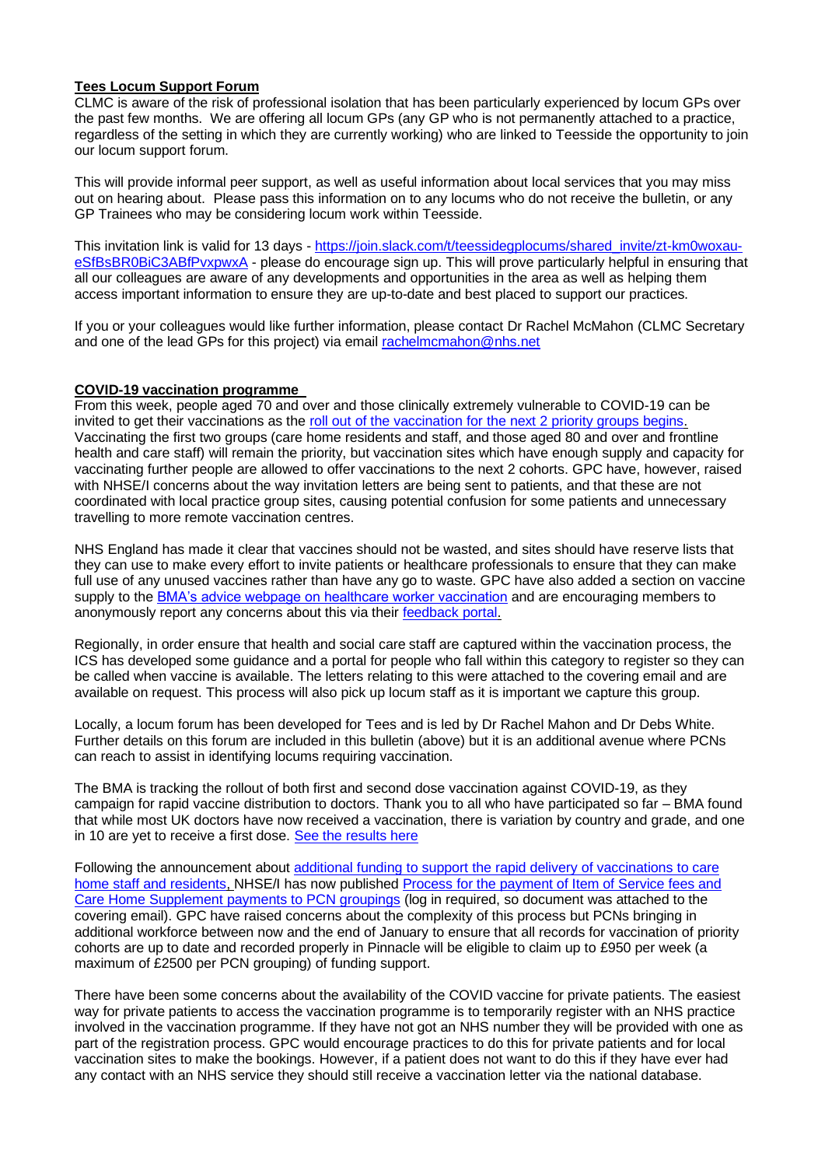# **Tees Locum Support Forum**

CLMC is aware of the risk of professional isolation that has been particularly experienced by locum GPs over the past few months. We are offering all locum GPs (any GP who is not permanently attached to a practice, regardless of the setting in which they are currently working) who are linked to Teesside the opportunity to join our locum support forum.

This will provide informal peer support, as well as useful information about local services that you may miss out on hearing about. Please pass this information on to any locums who do not receive the bulletin, or any GP Trainees who may be considering locum work within Teesside.

This invitation link is valid for 13 days - [https://join.slack.com/t/teessidegplocums/shared\\_invite/zt-km0woxau](https://join.slack.com/t/teessidegplocums/shared_invite/zt-km0woxau-eSfBsBR0BiC3ABfPvxpwxA)[eSfBsBR0BiC3ABfPvxpwxA](https://join.slack.com/t/teessidegplocums/shared_invite/zt-km0woxau-eSfBsBR0BiC3ABfPvxpwxA) - please do encourage sign up. This will prove particularly helpful in ensuring that all our colleagues are aware of any developments and opportunities in the area as well as helping them access important information to ensure they are up-to-date and best placed to support our practices.

If you or your colleagues would like further information, please contact Dr Rachel McMahon (CLMC Secretary and one of the lead GPs for this project) via email rachelmcmahon@nhs.net

## **COVID-19 vaccination programme**

From this week, people aged 70 and over and those clinically extremely vulnerable to COVID-19 can be invited to get their vaccinations as the [roll out of the vaccination for the next 2 priority groups begins.](https://www.gov.uk/government/news/covid-19-vaccines-rolled-out-to-people-aged-70-years-and-over-from-today) Vaccinating the first two groups (care home residents and staff, and those aged 80 and over and frontline health and care staff) will remain the priority, but vaccination sites which have enough supply and capacity for vaccinating further people are allowed to offer vaccinations to the next 2 cohorts. GPC have, however, raised with NHSE/I concerns about the way invitation letters are being sent to patients, and that these are not coordinated with local practice group sites, causing potential confusion for some patients and unnecessary travelling to more remote vaccination centres.

NHS England has made it clear that vaccines should not be wasted, and sites should have reserve lists that they can use to make every effort to invite patients or healthcare professionals to ensure that they can make full use of any unused vaccines rather than have any go to waste. GPC have also added a section on vaccine supply to the **BMA's advice webpage on healthcare worker vaccination** and are encouraging members to anonymously report any concerns about this via their [feedback portal.](https://forms.office.com/Pages/ResponsePage.aspx?id=vo5Ev1_m5kCeMTP9qkEogIsZgMv0QnBJvSy62kiuKdBUNjNWMDNFRlMyRkVTVFpOOURFN0s3WjhVMy4u)

Regionally, in order ensure that health and social care staff are captured within the vaccination process, the ICS has developed some guidance and a portal for people who fall within this category to register so they can be called when vaccine is available. The letters relating to this were attached to the covering email and are available on request. This process will also pick up locum staff as it is important we capture this group.

Locally, a locum forum has been developed for Tees and is led by Dr Rachel Mahon and Dr Debs White. Further details on this forum are included in this bulletin (above) but it is an additional avenue where PCNs can reach to assist in identifying locums requiring vaccination.

The BMA is tracking the rollout of both first and second dose vaccination against COVID-19, as they campaign for rapid vaccine distribution to doctors. Thank you to all who have participated so far – BMA found that while most UK doctors have now received a vaccination, there is variation by country and grade, and one in 10 are yet to receive a first dose. [See the results](https://www.bma.org.uk/advice-and-support/covid-19/what-the-bma-is-doing/covid-19-bma-actions-and-policy/covid-19-analysing-the-impact-of-coronavirus-on-doctors) here

Following the announcement about [additional funding to support the rapid delivery of vaccinations to care](https://www.england.nhs.uk/coronavirus/publication/covid-19-vaccination-in-older-adult-care-homes-the-next-stage/)  [home staff and residents,](https://www.england.nhs.uk/coronavirus/publication/covid-19-vaccination-in-older-adult-care-homes-the-next-stage/) NHSE/I has now published [Process for the payment of Item of Service fees and](https://future.nhs.uk/P_C_N/view?objectId=90274725)  [Care Home Supplement payments to PCN groupings](https://future.nhs.uk/P_C_N/view?objectId=90274725) (log in required, so document was attached to the covering email). GPC have raised concerns about the complexity of this process but PCNs bringing in additional workforce between now and the end of January to ensure that all records for vaccination of priority cohorts are up to date and recorded properly in Pinnacle will be eligible to claim up to £950 per week (a maximum of £2500 per PCN grouping) of funding support.

There have been some concerns about the availability of the COVID vaccine for private patients. The easiest way for private patients to access the vaccination programme is to temporarily register with an NHS practice involved in the vaccination programme. If they have not got an NHS number they will be provided with one as part of the registration process. GPC would encourage practices to do this for private patients and for local vaccination sites to make the bookings. However, if a patient does not want to do this if they have ever had any contact with an NHS service they should still receive a vaccination letter via the national database.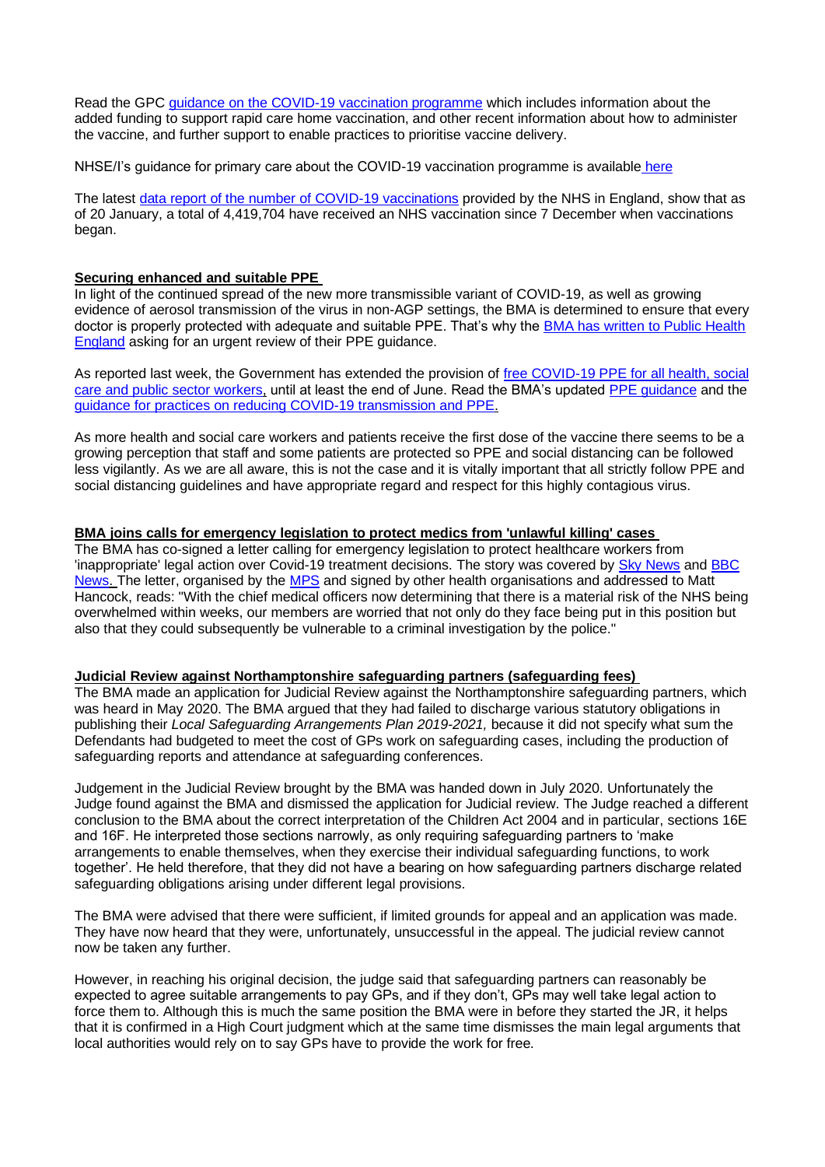Read the GPC [guidance on the COVID-19 vaccination programme](https://www.bma.org.uk/advice-and-support/covid-19/gp-practices/covid-19-vaccination-programme) which includes information about the added funding to support rapid care home vaccination, and other recent information about how to administer the vaccine, and further support to enable practices to prioritise vaccine delivery.

NHSE/I's guidance for primary care about the COVID-19 vaccination programme is available [here](https://www.england.nhs.uk/coronavirus/covid-19-vaccination-programme/primary-care-guidance/)

The latest [data report of the number of COVID-19 vaccinations](https://www.england.nhs.uk/statistics/statistical-work-areas/covid-19-vaccinations/) provided by the NHS in England, show that as of 20 January, a total of 4,419,704 have received an NHS vaccination since 7 December when vaccinations began.

## **Securing enhanced and suitable PPE**

In light of the continued spread of the new more transmissible variant of COVID-19, as well as growing evidence of aerosol transmission of the virus in non-AGP settings, the BMA is determined to ensure that every doctor is properly protected with adequate and suitable PPE. That's why the BMA has written to Public Health [England](https://www.bma.org.uk/bma-media-centre/bma-calls-for-urgent-review-of-ppe-guidance-as-provision-still-inadequate-and-heath-care-workers-at-serious-risk) asking for an urgent review of their PPE guidance.

As reported last week, the Government has extended the provision of [free COVID-19 PPE for all health, social](https://www.gov.uk/guidance/ppe-portal-how-to-order-covid-19-personal-protective-equipment)  [care and public sector workers,](https://www.gov.uk/guidance/ppe-portal-how-to-order-covid-19-personal-protective-equipment) until at least the end of June. Read the BMA's updated [PPE guidance](https://www.bma.org.uk/advice-and-support/covid-19/ppe/covid-19-ppe-for-doctors) and the [guidance for practices on reducing COVID-19 transmission and PPE.](https://www.bma.org.uk/advice-and-support/covid-19/gp-practices/covid-19-toolkit-for-gps-and-gp-practices/reducing-covid-19-transmission-and-ppe)

As more health and social care workers and patients receive the first dose of the vaccine there seems to be a growing perception that staff and some patients are protected so PPE and social distancing can be followed less vigilantly. As we are all aware, this is not the case and it is vitally important that all strictly follow PPE and social distancing guidelines and have appropriate regard and respect for this highly contagious virus.

### **BMA joins calls for emergency legislation to protect medics from 'unlawful killing' cases**

The BMA has co-signed a letter calling for emergency legislation to protect healthcare workers from 'inappropriate' legal action over Covid-19 treatment decisions. The story was covered by [Sky News](https://news.sky.com/story/covid-19-medics-call-for-emergency-law-to-protect-them-from-unlawful-killing-cases-12189848) and [BBC](https://www.bbc.co.uk/news/uk-55689388)  [News.](https://www.bbc.co.uk/news/uk-55689388) The letter, organised by the [MPS](https://www.medicalprotection.org/uk/articles/uk-healthcare-leaders-unite-in-call-to-protect-doctors-as-pressure-on-health-service-grows) and signed by other health organisations and addressed to Matt Hancock, reads: "With the chief medical officers now determining that there is a material risk of the NHS being overwhelmed within weeks, our members are worried that not only do they face being put in this position but also that they could subsequently be vulnerable to a criminal investigation by the police."

#### **Judicial Review against Northamptonshire safeguarding partners (safeguarding fees)**

The BMA made an application for Judicial Review against the Northamptonshire safeguarding partners, which was heard in May 2020. The BMA argued that they had failed to discharge various statutory obligations in publishing their *Local Safeguarding Arrangements Plan 2019-2021,* because it did not specify what sum the Defendants had budgeted to meet the cost of GPs work on safeguarding cases, including the production of safeguarding reports and attendance at safeguarding conferences.

Judgement in the Judicial Review brought by the BMA was handed down in July 2020. Unfortunately the Judge found against the BMA and dismissed the application for Judicial review. The Judge reached a different conclusion to the BMA about the correct interpretation of the Children Act 2004 and in particular, sections 16E and 16F. He interpreted those sections narrowly, as only requiring safeguarding partners to 'make arrangements to enable themselves, when they exercise their individual safeguarding functions, to work together'. He held therefore, that they did not have a bearing on how safeguarding partners discharge related safeguarding obligations arising under different legal provisions.

The BMA were advised that there were sufficient, if limited grounds for appeal and an application was made. They have now heard that they were, unfortunately, unsuccessful in the appeal. The judicial review cannot now be taken any further.

However, in reaching his original decision, the judge said that safeguarding partners can reasonably be expected to agree suitable arrangements to pay GPs, and if they don't, GPs may well take legal action to force them to. Although this is much the same position the BMA were in before they started the JR, it helps that it is confirmed in a High Court judgment which at the same time dismisses the main legal arguments that local authorities would rely on to say GPs have to provide the work for free.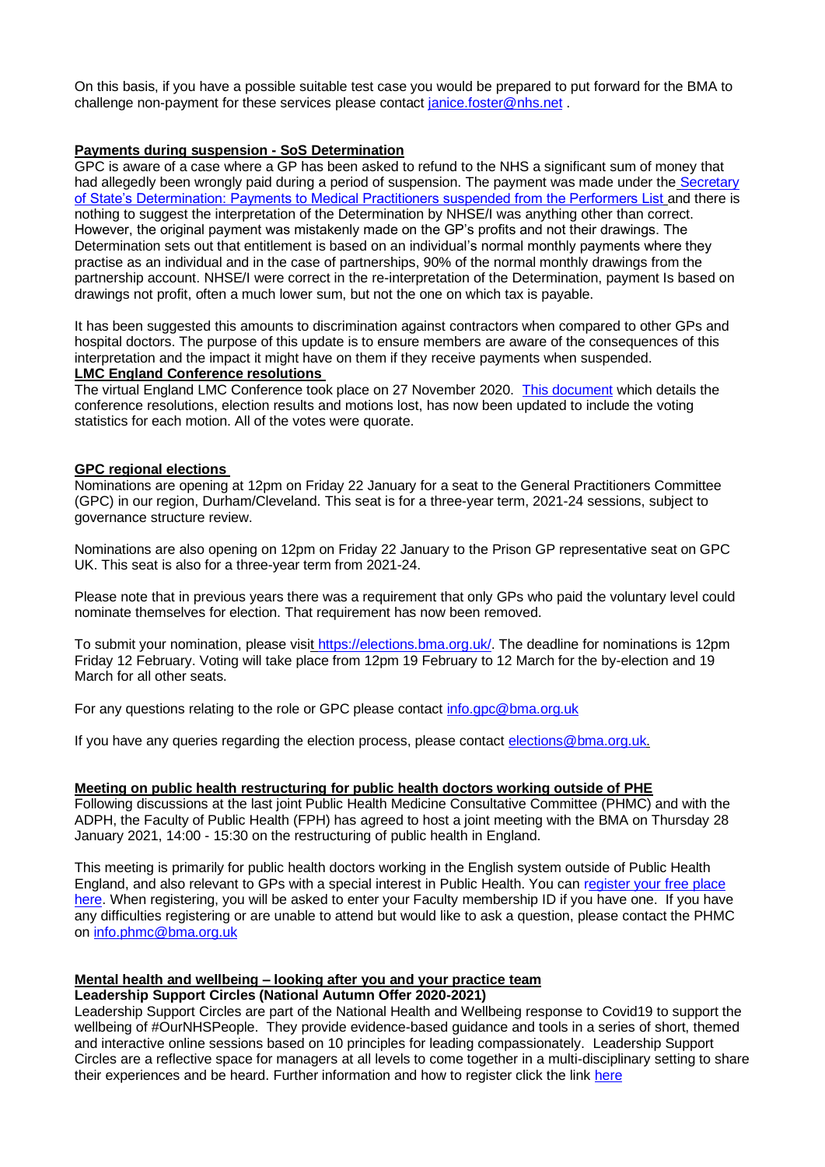On this basis, if you have a possible suitable test case you would be prepared to put forward for the BMA to challenge non-payment for these services please contact [janice.foster@nhs.net](mailto:janice.foster@nhs.net) .

#### **Payments during suspension - SoS Determination**

GPC is aware of a case where a GP has been asked to refund to the NHS a significant sum of money that had allegedly been wrongly paid during a period of suspension. The payment was made under the Secretary [of State's Determination: Payments to Medical Practitioners suspended from the Performers List](https://assets.publishing.service.gov.uk/government/uploads/system/uploads/attachment_data/file/432913/Medical_Det.pdf) and there is nothing to suggest the interpretation of the Determination by NHSE/I was anything other than correct. However, the original payment was mistakenly made on the GP's profits and not their drawings. The Determination sets out that entitlement is based on an individual's normal monthly payments where they practise as an individual and in the case of partnerships, 90% of the normal monthly drawings from the partnership account. NHSE/I were correct in the re-interpretation of the Determination, payment Is based on drawings not profit, often a much lower sum, but not the one on which tax is payable.

It has been suggested this amounts to discrimination against contractors when compared to other GPs and hospital doctors. The purpose of this update is to ensure members are aware of the consequences of this interpretation and the impact it might have on them if they receive payments when suspended. **LMC England Conference resolutions**

The virtual England LMC Conference took place on 27 November 2020. [This document](https://www.bma.org.uk/media/3713/bma-england-lmc-conference-resolutions-jan-2021.pdf#/media/media/edit/8274) which details the conference resolutions, election results and motions lost, has now been updated to include the voting statistics for each motion. All of the votes were quorate.

### **GPC regional elections**

Nominations are opening at 12pm on Friday 22 January for a seat to the General Practitioners Committee (GPC) in our region, Durham/Cleveland. This seat is for a three-year term, 2021-24 sessions, subject to governance structure review.

Nominations are also opening on 12pm on Friday 22 January to the Prison GP representative seat on GPC UK. This seat is also for a three-year term from 2021-24.

Please note that in previous years there was a requirement that only GPs who paid the voluntary level could nominate themselves for election. That requirement has now been removed.

To submit your nomination, please visit [https://elections.bma.org.uk/.](https://elections.bma.org.uk/) The deadline for nominations is 12pm Friday 12 February. Voting will take place from 12pm 19 February to 12 March for the by-election and 19 March for all other seats.

For any questions relating to the role or GPC please contact [info.gpc@bma.org.uk](mailto:info.gpc@bma.org.uk)

If you have any queries regarding the election process, please contact [elections@bma.org.uk.](mailto:elections@bma.org.uk)

# **Meeting on public health restructuring for public health doctors working outside of PHE**

Following discussions at the last joint Public Health Medicine Consultative Committee (PHMC) and with the ADPH, the Faculty of Public Health (FPH) has agreed to host a joint meeting with the BMA on Thursday 28 January 2021, 14:00 - 15:30 on the restructuring of public health in England.

This meeting is primarily for public health doctors working in the English system outside of Public Health England, and also relevant to GPs with a special interest in Public Health. You can [register your free place](https://us02web.zoom.us/meeting/register/tZcrcO6srjgiGdwmjZcKD8yZsGsoMRe0plwU)  [here.](https://us02web.zoom.us/meeting/register/tZcrcO6srjgiGdwmjZcKD8yZsGsoMRe0plwU) When registering, you will be asked to enter your Faculty membership ID if you have one. If you have any difficulties registering or are unable to attend but would like to ask a question, please contact the PHMC on [info.phmc@bma.org.uk](mailto:info.phmc@bma.org.uk)

# **Mental health and wellbeing – looking after you and your practice team**

#### **Leadership Support Circles (National Autumn Offer 2020-2021)**

Leadership Support Circles are part of the National Health and Wellbeing response to Covid19 to support the wellbeing of #OurNHSPeople. They provide evidence-based guidance and tools in a series of short, themed and interactive online sessions based on 10 principles for leading compassionately. Leadership Support Circles are a reflective space for managers at all levels to come together in a multi-disciplinary setting to share their experiences and be heard. Further information and how to register click the link [here](https://people.nhs.uk/event/leadership-circles-autumn-series/)